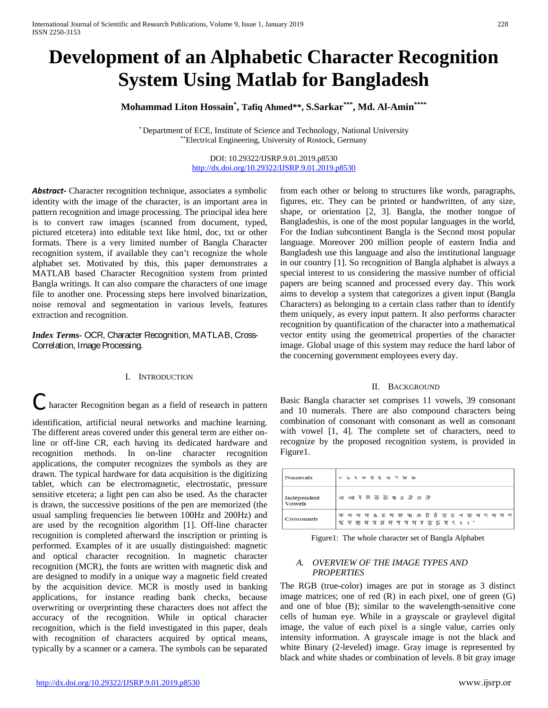# **Development of an Alphabetic Character Recognition System Using Matlab for Bangladesh**

**Mohammad Liton Hossain\* , Tafiq Ahmed\*\*, S.Sarkar\*\*\*, Md. Al-Amin\*\*\*\***

\* Department of ECE, Institute of Science and Technology, National University \*\*Electrical Engineering, University of Rostock, Germany

> DOI: 10.29322/IJSRP.9.01.2019.p8530 <http://dx.doi.org/10.29322/IJSRP.9.01.2019.p8530>

*Abstract***-** Character recognition technique, associates a symbolic identity with the image of the character, is an important area in pattern recognition and image processing. The principal idea here is to convert raw images (scanned from document, typed, pictured etcetera) into editable text like html, doc, txt or other formats. There is a very limited number of Bangla Character recognition system, if available they can't recognize the whole alphabet set. Motivated by this, this paper demonstrates a MATLAB based Character Recognition system from printed Bangla writings. It can also compare the characters of one image file to another one. Processing steps here involved binarization, noise removal and segmentation in various levels, features extraction and recognition.

# *Index Terms*- OCR, Character Recognition, MATLAB, Cross-Correlation, Image Processing.

#### I. INTRODUCTION

haracter Recognition began as a field of research in pattern

identification, artificial neural networks and machine learning. The different areas covered under this general term are either online or off-line CR, each having its dedicated hardware and recognition methods. In on-line character recognition applications, the computer recognizes the symbols as they are drawn. The typical hardware for data acquisition is the digitizing tablet, which can be electromagnetic, electrostatic, pressure sensitive etcetera; a light pen can also be used. As the character is drawn, the successive positions of the pen are memorized (the usual sampling frequencies lie between 100Hz and 200Hz) and are used by the recognition algorithm [1]. Off-line character recognition is completed afterward the inscription or printing is performed. Examples of it are usually distinguished: magnetic and optical character recognition. In magnetic character recognition (MCR), the fonts are written with magnetic disk and are designed to modify in a unique way a magnetic field created by the acquisition device. MCR is mostly used in banking applications, for instance reading bank checks, because overwriting or overprinting these characters does not affect the accuracy of the recognition. While in optical character recognition, which is the field investigated in this paper, deals with recognition of characters acquired by optical means, typically by a scanner or a camera. The symbols can be separated

from each other or belong to structures like words, paragraphs, figures, etc. They can be printed or handwritten, of any size, shape, or orientation [2, 3]. Bangla, the mother tongue of Bangladeshis, is one of the most popular languages in the world, For the Indian subcontinent Bangla is the Second most popular language. Moreover 200 million people of eastern India and Bangladesh use this language and also the institutional language in our country [1]. So recognition of Bangla alphabet is always a special interest to us considering the massive number of official papers are being scanned and processed every day. This work aims to develop a system that categorizes a given input (Bangla Characters) as belonging to a certain class rather than to identify them uniquely, as every input pattern. It also performs character recognition by quantification of the character into a mathematical vector entity using the geometrical properties of the character image. Global usage of this system may reduce the hard labor of the concerning government employees every day.

#### II. BACKGROUND

Basic Bangla character set comprises 11 vowels, 39 consonant and 10 numerals. There are also compound characters being combination of consonant with consonant as well as consonant with vowel [1, 4]. The complete set of characters, need to recognize by the proposed recognition system, is provided in Figure1.

| Numerals              | $00 2 3 4 6 8 6 1 9 1 1 1 1 0$                                                          |
|-----------------------|-----------------------------------------------------------------------------------------|
| Independent<br>Vowels | অ আ ই ঈ উ ঊ ঋ এ ঐ ও ঔ                                                                   |
| Consonants            | क थ গ घ ঙ চ ছ জ ঝ ঞ ট ঠ ড ঢ ণ ভ থ দ ধ ল প<br>क व <b>छ म य व न শ य म र</b> ऊ ঢ य ९ ९ : ° |

Figure1: The whole character set of Bangla Alphabet

#### *A. OVERVIEW OF THE IMAGE TYPES AND PROPERTIES*

The RGB (true-color) images are put in storage as 3 distinct image matrices; one of red  $(R)$  in each pixel, one of green  $(G)$ and one of blue (B); similar to the wavelength-sensitive cone cells of human eye. While in a grayscale or graylevel digital image, the value of each pixel is a single value, carries only intensity information. A grayscale image is not the black and white Binary (2-leveled) image. Gray image is represented by black and white shades or combination of levels. 8 bit gray image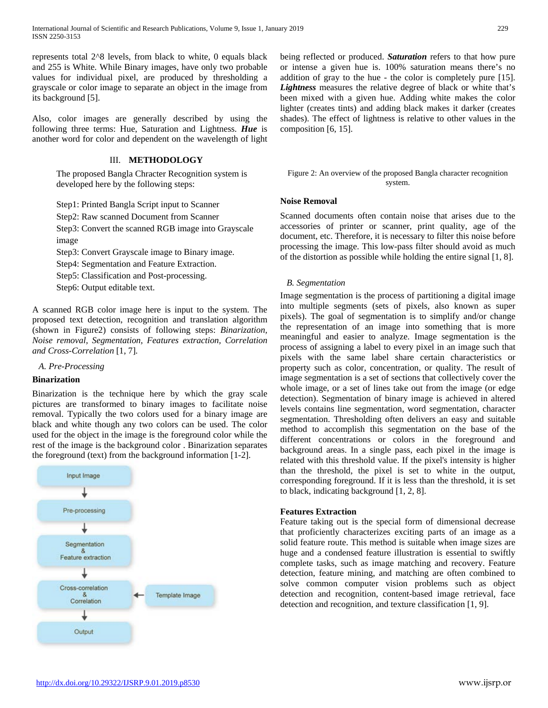represents total 2^8 levels, from black to white, 0 equals black and 255 is White. While Binary images, have only two probable values for individual pixel, are produced by thresholding a grayscale or color image to separate an object in the image from its background [5].

Also, color images are generally described by using the following three terms: Hue, Saturation and Lightness. *Hue* is another word for color and dependent on the wavelength of light

# III. **METHODOLOGY**

The proposed Bangla Chracter Recognition system is developed here by the following steps:

Step1: Printed Bangla Script input to Scanner

Step2: Raw scanned Document from Scanner

Step3: Convert the scanned RGB image into Grayscale image

Step3: Convert Grayscale image to Binary image.

Step4: Segmentation and Feature Extraction.

Step5: Classification and Post-processing.

Step6: Output editable text.

A scanned RGB color image here is input to the system. The proposed text detection, recognition and translation algorithm (shown in Figure2) consists of following steps: *Binarization, Noise removal, Segmentation, Features extraction, Correlation and Cross-Correlation* [1, 7]*.*

## *A. Pre-Processing*

## **Binarization**

Binarization is the technique here by which the gray scale pictures are transformed to binary images to facilitate noise removal. Typically the two colors used for a binary image are black and white though any two colors can be used. The color used for the object in the image is the foreground color while the rest of the image is the background color . Binarization separates the foreground (text) from the background information [1-2].



being reflected or produced. *Saturation* refers to that how pure or intense a given hue is. 100% saturation means there's no addition of gray to the hue - the color is completely pure [15]. *Lightness* measures the relative degree of black or white that's been mixed with a given hue. Adding white makes the color lighter (creates tints) and adding black makes it darker (creates shades). The effect of lightness is relative to other values in the composition [6, 15].

# Figure 2: An overview of the proposed Bangla character recognition system.

# **Noise Removal**

Scanned documents often contain noise that arises due to the accessories of printer or scanner, print quality, age of the document, etc. Therefore, it is necessary to filter this noise before processing the image. This low-pass filter should avoid as much of the distortion as possible while holding the entire signal [1, 8].

# *B. Segmentation*

Image segmentation is the process of partitioning a digital image into multiple segments (sets of pixels, also known as super pixels). The goal of segmentation is to simplify and/or change the representation of an image into something that is more meaningful and easier to analyze. Image segmentation is the process of assigning a label to every pixel in an image such that pixels with the same label share certain characteristics or property such as color, concentration, or quality. The result of image segmentation is a set of sections that collectively cover the whole image, or a set of lines take out from the image (or edge detection). Segmentation of binary image is achieved in altered levels contains line segmentation, word segmentation, character segmentation. Thresholding often delivers an easy and suitable method to accomplish this segmentation on the base of the different concentrations or colors in the foreground and background areas. In a single pass, each pixel in the image is related with this threshold value. If the pixel's intensity is higher than the threshold, the pixel is set to white in the output, corresponding foreground. If it is less than the threshold, it is set to black, indicating background [1, 2, 8].

## **Features Extraction**

Feature taking out is the special form of dimensional decrease that proficiently characterizes exciting parts of an image as a solid feature route. This method is suitable when image sizes are huge and a condensed feature illustration is essential to swiftly complete tasks, such as image matching and recovery. Feature detection, feature mining, and matching are often combined to solve common computer vision problems such as object detection and recognition, content-based image retrieval, face detection and recognition, and texture classification [1, 9].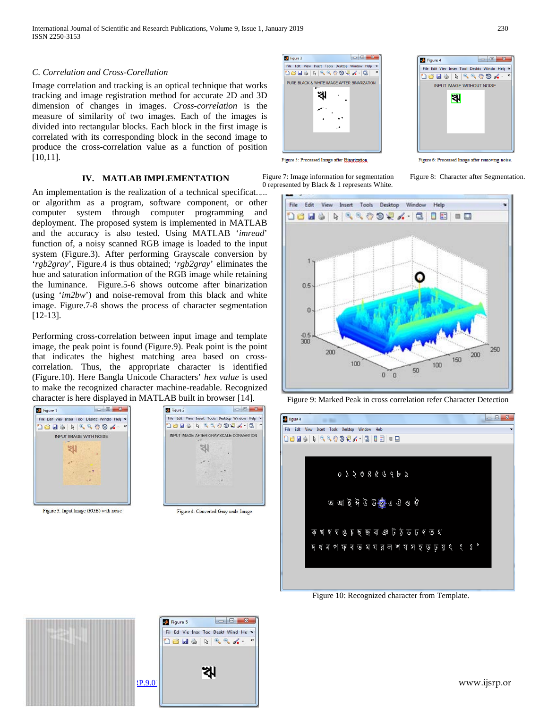# *C. Correlation and Cross-Corellation*

Image correlation and tracking is an optical technique that works tracking and image registration method for accurate 2D and 3D dimension of changes in images. *Cross-correlation* is the measure of similarity of two images. Each of the images is divided into rectangular blocks. Each block in the first image is correlated with its corresponding block in the second image to produce the cross-correlation value as a function of position [10,11].

## **IV. MATLAB IMPLEMENTATION**

An implementation is the realization of a technical specificat.... or algorithm as a program, software component, or other computer system through computer programming and deployment. The proposed system is implemented in MATLAB and the accuracy is also tested. Using MATLAB '*imread*' function of, a noisy scanned RGB image is loaded to the input system (Figure.3). After performing Grayscale conversion by '*rgb2gray*', Figure.4 is thus obtained; '*rgb2gray*' eliminates the hue and saturation information of the RGB image while retaining the luminance. Figure.5-6 shows outcome after binarization (using '*im2bw*') and noise-removal from this black and white image. Figure.7-8 shows the process of character segmentation [12-13]. 0 represented by Black & 1 represents White.

Performing cross-correlation between input image and template image, the peak point is found (Figure.9). Peak point is the point that indicates the highest matching area based on crosscorrelation. Thus, the appropriate character is identified (Figure.10). Here Bangla Unicode Characters' *hex value* is used to make the recognized character machine-readable. Recognized character is here displayed in MATLAB built in browser [14]. Figure 9: Marked Peak in cross correlation refer Character Detection







Figure 6: Processed Image after removing noise

Figure 7: Image information for segmentation Figure 8: Character after Segmentation.







Figure 10: Recognized character from Template.

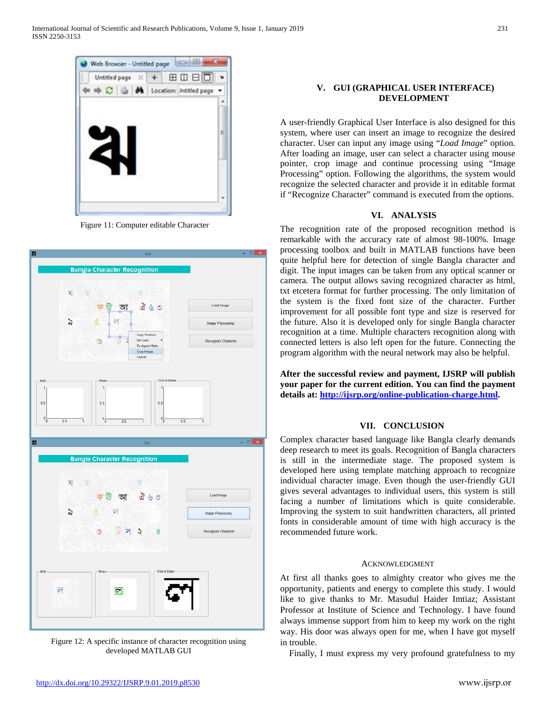

Figure 11: Computer editable Character



Figure 12: A specific instance of character recognition using developed MATLAB GUI

# **V. GUI (GRAPHICAL USER INTERFACE) DEVELOPMENT**

A user-friendly Graphical User Interface is also designed for this system, where user can insert an image to recognize the desired character. User can input any image using "*Load Image*" option. After loading an image, user can select a character using mouse pointer, crop image and continue processing using "Image Processing" option. Following the algorithms, the system would recognize the selected character and provide it in editable format if "Recognize Character" command is executed from the options.

# **VI. ANALYSIS**

The recognition rate of the proposed recognition method is remarkable with the accuracy rate of almost 98-100%. Image processing toolbox and built in MATLAB functions have been quite helpful here for detection of single Bangla character and digit. The input images can be taken from any optical scanner or camera. The output allows saving recognized character as html, txt etcetera format for further processing. The only limitation of the system is the fixed font size of the character. Further improvement for all possible font type and size is reserved for the future. Also it is developed only for single Bangla character recognition at a time. Multiple characters recognition along with connected letters is also left open for the future. Connecting the program algorithm with the neural network may also be helpful.

**After the successful review and payment, IJSRP will publish your paper for the current edition. You can find the payment details at[: http://ijsrp.org/online-publication-charge.html.](http://ijsrp.org/online-publication-charge.html)**

# **VII. CONCLUSION**

Complex character based language like Bangla clearly demands deep research to meet its goals. Recognition of Bangla characters is still in the intermediate stage. The proposed system is developed here using template matching approach to recognize individual character image. Even though the user-friendly GUI gives several advantages to individual users, this system is still facing a number of limitations which is quite considerable. Improving the system to suit handwritten characters, all printed fonts in considerable amount of time with high accuracy is the recommended future work.

## ACKNOWLEDGMENT

At first all thanks goes to almighty creator who gives me the opportunity, patients and energy to complete this study. I would like to give thanks to Mr. Masudul Haider Imtiaz; Assistant Professor at Institute of Science and Technology. I have found always immense support from him to keep my work on the right way. His door was always open for me, when I have got myself in trouble.

Finally, I must express my very profound gratefulness to my